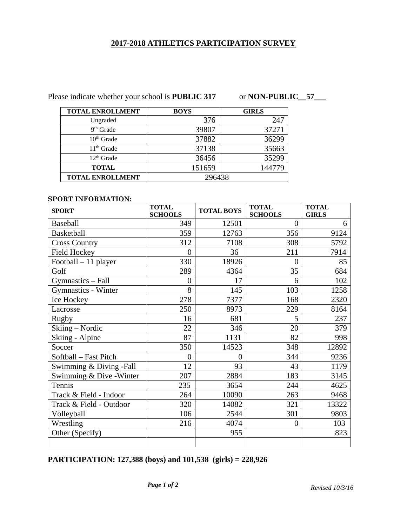# **2017-2018 ATHLETICS PARTICIPATION SURVEY**

Please indicate whether your school is **PUBLIC 317** or **NON-PUBLIC\_57\_\_** 

| <b>TOTAL ENROLLMENT</b> | <b>BOYS</b> | <b>GIRLS</b> |  |
|-------------------------|-------------|--------------|--|
| Ungraded                | 376         | 247          |  |
| $9th$ Grade             | 39807       | 37271        |  |
| $10th$ Grade            | 37882       | 36299        |  |
| $11th$ Grade            | 37138       | 35663        |  |
| $12th$ Grade            | 36456       | 35299        |  |
| <b>TOTAL</b>            | 151659      | 144779       |  |
| <b>TOTAL ENROLLMENT</b> | 296438      |              |  |

#### **SPORT INFORMATION:**

| <b>SPORT</b>               | <b>TOTAL</b><br><b>SCHOOLS</b> | <b>TOTAL BOYS</b> | <b>TOTAL</b><br><b>SCHOOLS</b> | <b>TOTAL</b><br><b>GIRLS</b> |
|----------------------------|--------------------------------|-------------------|--------------------------------|------------------------------|
| Baseball                   | 349                            | 12501             | $\theta$                       | 6                            |
| <b>Basketball</b>          | 359                            | 12763             | 356                            | 9124                         |
| <b>Cross Country</b>       | 312                            | 7108              | 308                            | 5792                         |
| <b>Field Hockey</b>        | $\overline{0}$                 | 36                | 211                            | 7914                         |
| Football - 11 player       | 330                            | 18926             | $\overline{0}$                 | 85                           |
| Golf                       | 289                            | 4364              | 35                             | 684                          |
| Gymnastics - Fall          | $\Omega$                       | 17                | 6                              | 102                          |
| <b>Gymnastics - Winter</b> | 8                              | 145               | 103                            | 1258                         |
| Ice Hockey                 | 278                            | 7377              | 168                            | 2320                         |
| Lacrosse                   | 250                            | 8973              | 229                            | 8164                         |
| <b>Rugby</b>               | 16                             | 681               | 5                              | 237                          |
| Skiing – Nordic            | 22                             | 346               | 20                             | 379                          |
| Skiing - Alpine            | 87                             | 1131              | 82                             | 998                          |
| Soccer                     | 350                            | 14523             | 348                            | 12892                        |
| Softball - Fast Pitch      | $\theta$                       | $\overline{0}$    | 344                            | 9236                         |
| Swimming & Diving -Fall    | 12                             | 93                | 43                             | 1179                         |
| Swimming & Dive - Winter   | 207                            | 2884              | 183                            | 3145                         |
| Tennis                     | 235                            | 3654              | 244                            | 4625                         |
| Track & Field - Indoor     | 264                            | 10090             | 263                            | 9468                         |
| Track & Field - Outdoor    | 320                            | 14082             | 321                            | 13322                        |
| Volleyball                 | 106                            | 2544              | 301                            | 9803                         |
| Wrestling                  | 216                            | 4074              | $\overline{0}$                 | 103                          |
| Other (Specify)            |                                | 955               |                                | 823                          |
|                            |                                |                   |                                |                              |

**PARTICIPATION: 127,388 (boys) and 101,538 (girls) = 228,926**